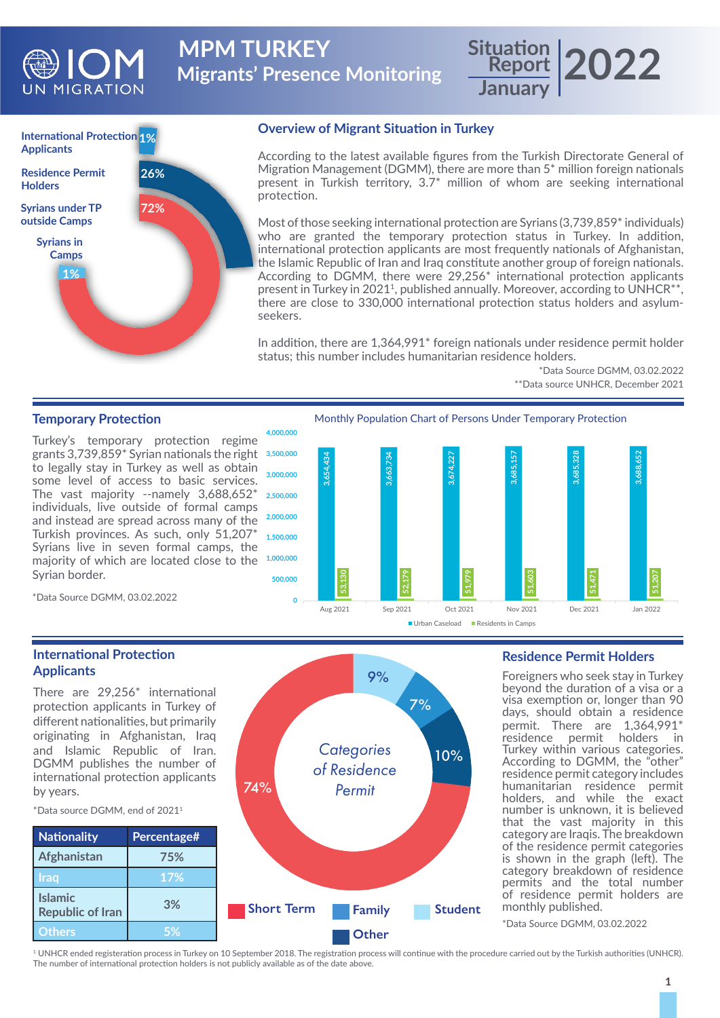

**Migrants' Presence Monitoring MPM TURKEY** 

### **Report January 2022**



### **Overview of Migrant Situation in Turkey**

According to the latest available figures from the Turkish Directorate General of Migration Management (DGMM), there are more than 5\* million foreign nationals present in Turkish territory, 3.7\* million of whom are seeking international protection.

Most of those seeking international protection are Syrians (3,739,859<sup>\*</sup> individuals) who are granted the temporary protection status in Turkey. In addition, international protection applicants are most frequently nationals of Afghanistan, the Islamic Republic of Iran and Iraq constitute another group of foreign nationals. According to DGMM, there were 29,256\* international protection applicants present in Turkey in 2021<sup>1</sup>, published annually. Moreover, according to UNHCR<sup>\*\*</sup>, there are close to 330,000 international protection status holders and asylumseekers.

In addition, there are 1,364,991\* foreign nationals under residence permit holder status; this number includes humanitarian residence holders.

> \*Data Source DGMM, 03.02.2022 \*\*Data source UNHCR, December 2021

### **Temporary Protection**

Turkey's temporary protection regime grants 3,739,859\* Syrian nationals the right to legally stay in Turkey as well as obtain some level of access to basic services. The vast majority --namely 3,688,652\* individuals, live outside of formal camps and instead are spread across many of the Turkish provinces. As such, only 51,207\* Syrians live in seven formal camps, the majority of which are located close to the Syrian border.

Monthly Population Chart of Persons Under Temporary Protection



\*Data Source DGMM, 03.02.2022

### **International Protection Applicants**

There are 29,256\* international protection applicants in Turkey of different nationalities, but primarily originating in Afghanistan, Iraq and Islamic Republic of Iran. DGMM publishes the number of international protection applicants by years.

\*Data source DGMM, end of 20211



### **Residence Permit Holders**

Foreigners who seek stay in Turkey beyond the duration of a visa or a visa exemption or, longer than 90 days, should obtain a residence permit. There are 1,364,991\* residence permit holders in Turkey within various categories. According to DGMM, the "other" residence permit category includes humanitarian residence permit holders, and while the exact number is unknown, it is believed that the vast majority in this category are Iraqis. The breakdown of the residence permit categories is shown in the graph (left). The category breakdown of residence permits and the total number of residence permit holders are monthly published.

\*Data Source DGMM, 03.02.2022

1 UNHCR ended registeration process in Turkey on 10 September 2018. The registration process will continue with the procedure carried out by the Turkish authorities (UNHCR). The number of international protection holders is not publicly available as of the date above.

*Categories of Residence* 

9%

7%

10%